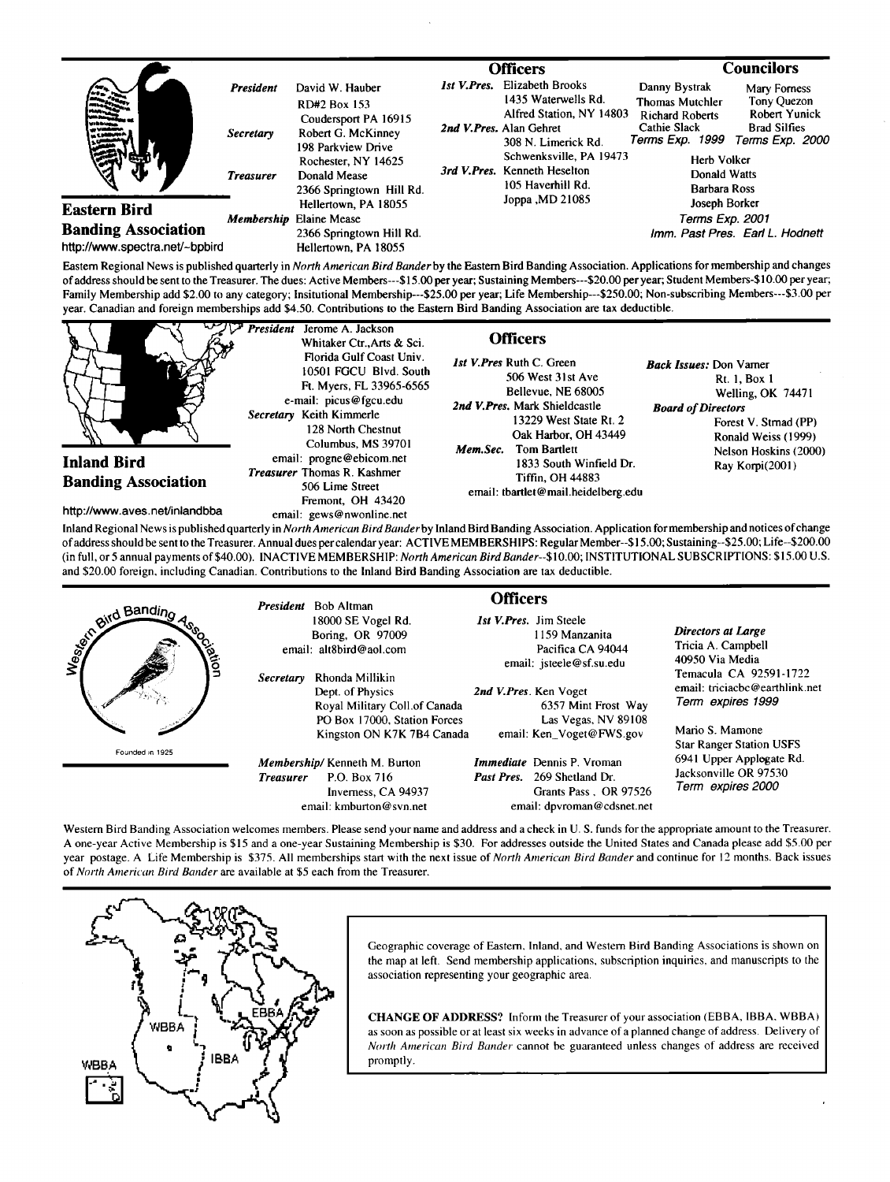|                                                                              |                                                   | <b>Officers</b>                                                                                                                                                        |                    |                                                                                                                                                                                                       | Councilors                                                                                                                                          |                                                                                               |  |
|------------------------------------------------------------------------------|---------------------------------------------------|------------------------------------------------------------------------------------------------------------------------------------------------------------------------|--------------------|-------------------------------------------------------------------------------------------------------------------------------------------------------------------------------------------------------|-----------------------------------------------------------------------------------------------------------------------------------------------------|-----------------------------------------------------------------------------------------------|--|
|                                                                              | <b>President</b><br>Secretary<br><b>Treasurer</b> | David W. Hauber<br>RD#2 Box 153<br>Coudersport PA 16915<br>Robert G. McKinney<br>198 Parkview Drive<br>Rochester, NY 14625<br>Donald Mease<br>2366 Springtown Hill Rd. | <b>Ist V.Pres.</b> | Elizabeth Brooks<br>1435 Waterwells Rd.<br>Alfred Station, NY 14803<br>2nd V.Pres. Alan Gehret<br>308 N. Limerick Rd.<br>Schwenksville, PA 19473<br>3rd V.Pres. Kenneth Heselton<br>105 Haverhill Rd. | Danny Bystrak<br><b>Thomas Mutchler</b><br><b>Richard Roberts</b><br>Cathie Slack<br>Terms Exp. 1999<br>Herb Volker<br>Donald Watts<br>Barbara Ross | Mary Forness<br>Tony Quezon<br><b>Robert Yunick</b><br><b>Brad Silfies</b><br>Terms Exp. 2000 |  |
| Eastern Bird<br><b>Banding Association</b><br>http://www.spectra.net/~bpbird |                                                   | Hellertown, PA 18055<br><b>Membership Elaine Mease</b><br>2366 Springtown Hill Rd.<br>Hellertown, PA 18055                                                             |                    | Joppa , MD 21085                                                                                                                                                                                      | Joseph Borker<br>Terms Exp. 2001<br>Imm. Past Pres. Earl L. Hodnett                                                                                 |                                                                                               |  |

**Eastern Regional News is published quarterly in North American Bird Bander by the Eastern Bird Banding Association. Applications for membership and changes**  of address should be sent to the Treasurer. The dues: Active Members---\$15.00 per year; Sustaining Members---\$20.00 per year; Student Members-\$10.00 per year; **Family Membership add \$2.00 to any category; lnsitutional Membership---S25.00 per year; Life Membership---S250.00; Non-subscribing Members---S3.00 per year. Canadian and foreign memberships add \$4.50. Contributions tothe Eastern Bird Banding Association are tax deductible.** 



**Inland Regional News is published quarterly in North American Bird Banderby Inland Bird Banding Association. Application for membership and notices of change of address should be sento the Treasurer. Annual dues per calendar year: ACTIVE MEMBERSHIPS: Regular Member--\$15.00; Sustaining--S25.00; Life--S200.00 (in full, or 5 annual payments of \$40.00). INACTIVE MEMBERSHIP: North American Bird Bander--S10.00; INSTITUTIONAL SUBSCRIPTIONS: \$15.00 U.S. and \$20.00 foreign, including Canadian. Contributions to the Inland Bird Banding Association are tax deductible.** 

| and Bandino<br>axion | Secretary        | <b>President</b> Bob Altman<br>18000 SE Vogel Rd.<br>Boring, OR 97009<br>email: alt8bird@aol.com<br>Rhonda Millikin<br>Dept. of Physics<br>Royal Military Coll.of Canada<br>PO Box 17000, Station Forces<br>Kingston ON K7K 7B4 Canada | <b>Officers</b><br><b>Ist V.Pres.</b> Jim Steele<br>1159 Manzanita<br>Pacifica CA 94044<br>email: jsteele@sf.su.edu<br>2nd V.Pres. Ken Voget<br>6357 Mint Frost Way<br>Las Vegas, NV 89108<br>email: Ken_Voget@FWS.gov |                                                                                                                         | Directors at Large<br>Tricia A. Campbell<br>40950 Via Media<br>Temacula CA 92591-1722<br>email: triciachc@earthlink.net<br>Term expires 1999<br>Mario S. Mamone |
|----------------------|------------------|----------------------------------------------------------------------------------------------------------------------------------------------------------------------------------------------------------------------------------------|------------------------------------------------------------------------------------------------------------------------------------------------------------------------------------------------------------------------|-------------------------------------------------------------------------------------------------------------------------|-----------------------------------------------------------------------------------------------------------------------------------------------------------------|
| Founded in 1925      | <b>Treasurer</b> | Membership/Kenneth M. Burton<br>P.O. Box 716<br>Inverness, CA 94937<br>email: kmburton@syn.net                                                                                                                                         |                                                                                                                                                                                                                        | <i>Immediate</i> Dennis P. Vroman<br>Past Pres. 269 Shetland Dr.<br>Grants Pass, OR 97526<br>email: dpyroman@cdsnet.net | <b>Star Ranger Station USFS</b><br>6941 Upper Applogate Rd.<br>Jacksonville OR 97530<br>Term expires 2000                                                       |

Western Bird Banding Association welcomes members. Please send your name and address and a check in U.S. funds for the appropriate amount to the Treasurer. **A one-year Active Membership is \$15 and a one-year Sustaining Membership is \$30. For addresses outside the United States and Canada please add \$5.00 per year postage. A Life Membership is \$375. All memberships start with the next issue of North American Bird Bander and continue for 12 months. Back issues of North American Bird Bander are available at \$5 each from the Treasurer.** 



**Geographic coverage of Eastern, Inland, and Western Bird Banding Associations is shown on the map at left. Send membership applications, subscription inquiries, and manuscripts to the association representing your geographic area.** 

**CHANGE OF ADDRESS? Inform the Treasurer of your association (EBBA, IBBA, WBBA) as soon as possible or at least six weeks in advance of a planned change of address. Delivery of North American Bird Bander cannot be guaranteed unless changes of address are received promptly.**